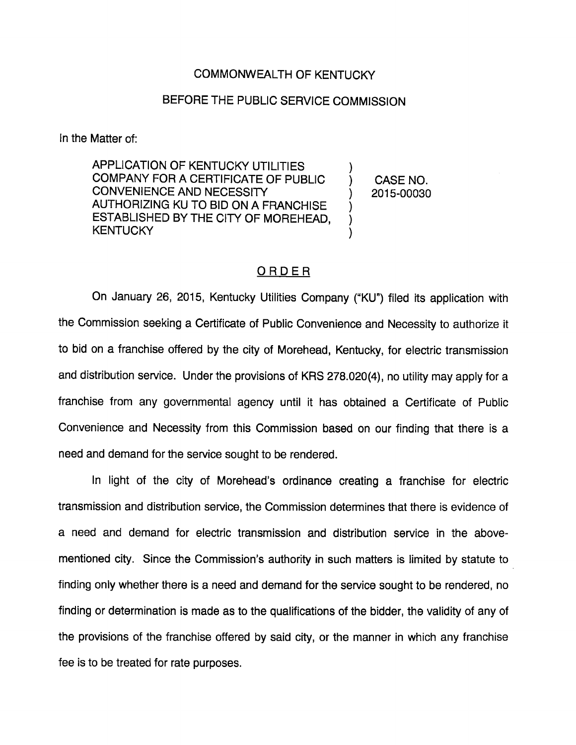## COMMONWEALTH OF KENTUCKY

## BEFORE THE PUBLIC SERVICE COMMISSION

In the Matter of:

APPLICATION OF KENTUCKY UTILITIES COMPANY FOR A CERTIFICATE OF PUBLIC CONVENIENCE AND NECESSITY AUTHORIZING KU TO BID ON A FRANCHISE ESTABLISHED BY THE CITY OF MOREHEAD, **KENTUCKY** 

CASE NO. 2015-00030

 $\mathcal{E}$ )

)  $\mathcal{E}$ 

## ORDER

On January 26, 2015, Kentucky Utilities Company ("KU") filed its application with the Commission seeking a Certificate of Public Convenience and Necessity to authorize it to bid on a franchise offered by the city of Morehead, Kentucky, for electric transmission and distribution service. Under the provisions of KRS 278.020(4), no utility may apply for a franchise from any governmentai agency until it has obtained a Certificate of Public Convenience and Necessity from this Commission based on our finding that there is a need and demand for the service sought to be rendered.

In light of the city of Morehead's ordinance creating a franchise for electric transmission and distribution service, the Commission determines that there is evidence of a need and demand for electric transmission and distribution service in the abovementioned city. Since the Commission's authority in such matters is limited by statute to finding only whether there is a need and demand for the service sought to be rendered, no finding or determination is made as to the qualifications of the bidder, the validity of any of the provisions of the franchise offered by said city, or the manner in which any franchise fee is to be treated for rate purposes.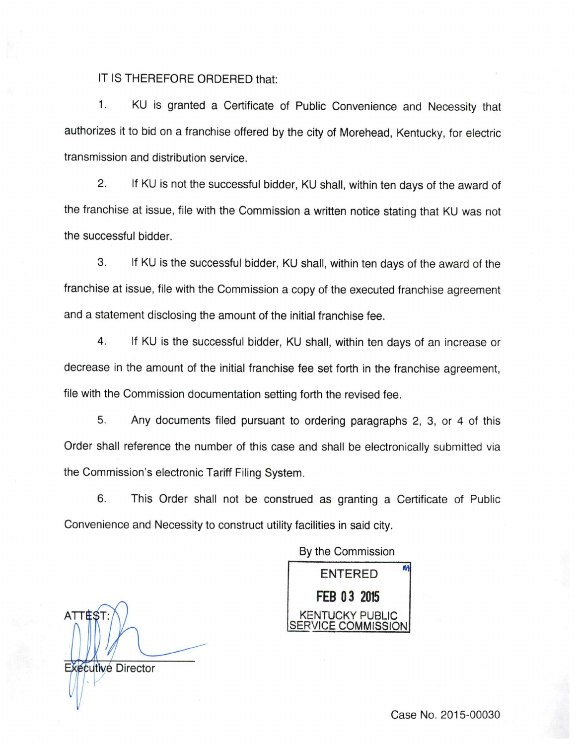## IT IS THEREFORE ORDERED that:

1. KU is granted a Certificate of Public Convenience and Necessity that authorizes it to bid on a franchise offered by the city of Morehead, Kentucky, for electric transmission and distribution service.

2. If KU is not the successful bidder, KU shall, within ten days of the award of the franchise at issue, file with the Commission a written notice stating that KU was not the successful bidder.

3. If KU is the successful bidder, KU shall, within ten days of the award of the franchise at issue, file with the Commission a copy of the executed franchise agreement and a statement disclosing the amount of the initial franchise fee.

4. If KU is the successful bidder, KU shall, within ten days of an increase or decrease in the amount of the initial franchise fee set forth in the franchise agreement, file with the Commission documentation setting forth the revised fee.

5. Any documents filed pursuant to ordering paragraphs 2, 3, or 4 of this Order shall reference the number of this case and shall be electronically submitted via the Commission's electronic Tariff Filing System.

6. This Order shall not be construed as granting a Certificate of Public Convenience and Necessity to construct utility facilities in said city.

By the Commission

ENTERED FEB 03 2015 KENTUCKY PUBLIC VICE COMMISSION

**ATTEST** Executive Director

Case No. 2015-00030